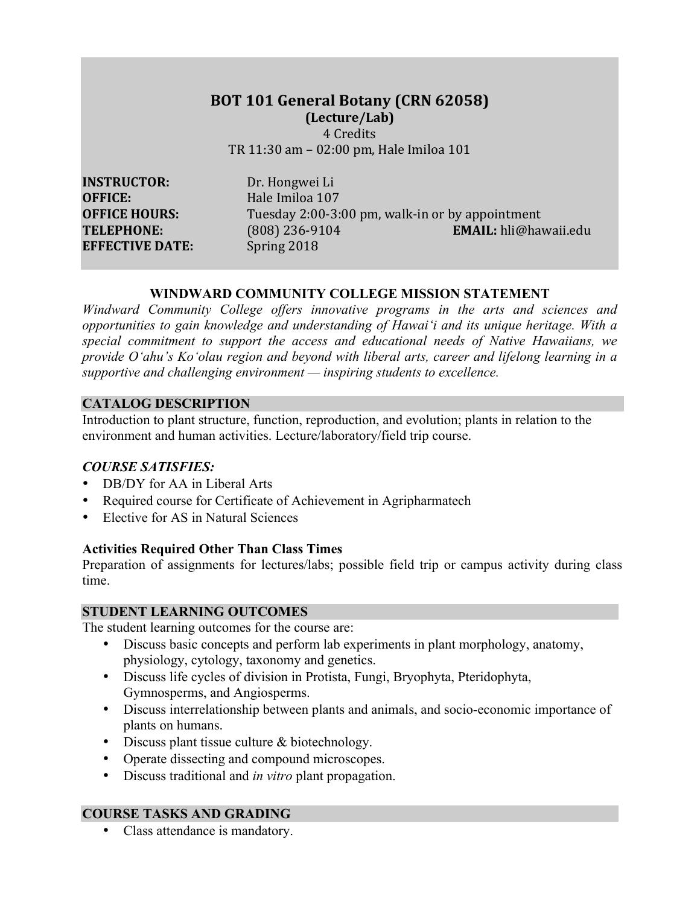## **BOT 101 General Botany (CRN 62058) (Lecture/Lab)** 4 Credits

TR 11:30 am - 02:00 pm, Hale Imiloa 101

**INSTRUCTOR:** Dr. Hongwei Li **OFFICE:** Hale Imiloa 107 **EFFECTIVE DATE:** Spring 2018

**OFFICE HOURS:** Tuesday 2:00-3:00 pm, walk-in or by appointment **TELEPHONE:** (808) 236-9104 **EMAIL:** hli@hawaii.edu

#### **WINDWARD COMMUNITY COLLEGE MISSION STATEMENT**

*Windward Community College offers innovative programs in the arts and sciences and opportunities to gain knowledge and understanding of Hawai'i and its unique heritage. With a special commitment to support the access and educational needs of Native Hawaiians, we provide O'ahu's Ko'olau region and beyond with liberal arts, career and lifelong learning in a supportive and challenging environment — inspiring students to excellence.*

#### **CATALOG DESCRIPTION**

Introduction to plant structure, function, reproduction, and evolution; plants in relation to the environment and human activities. Lecture/laboratory/field trip course.

#### *COURSE SATISFIES:*

- DB/DY for AA in Liberal Arts
- Required course for Certificate of Achievement in Agripharmatech
- Elective for AS in Natural Sciences

## **Activities Required Other Than Class Times**

Preparation of assignments for lectures/labs; possible field trip or campus activity during class time.

### **STUDENT LEARNING OUTCOMES**

The student learning outcomes for the course are:

- Discuss basic concepts and perform lab experiments in plant morphology, anatomy, physiology, cytology, taxonomy and genetics.
- Discuss life cycles of division in Protista, Fungi, Bryophyta, Pteridophyta, Gymnosperms, and Angiosperms.
- Discuss interrelationship between plants and animals, and socio-economic importance of plants on humans.
- Discuss plant tissue culture & biotechnology.
- Operate dissecting and compound microscopes.
- Discuss traditional and *in vitro* plant propagation.

## **COURSE TASKS AND GRADING**

• Class attendance is mandatory.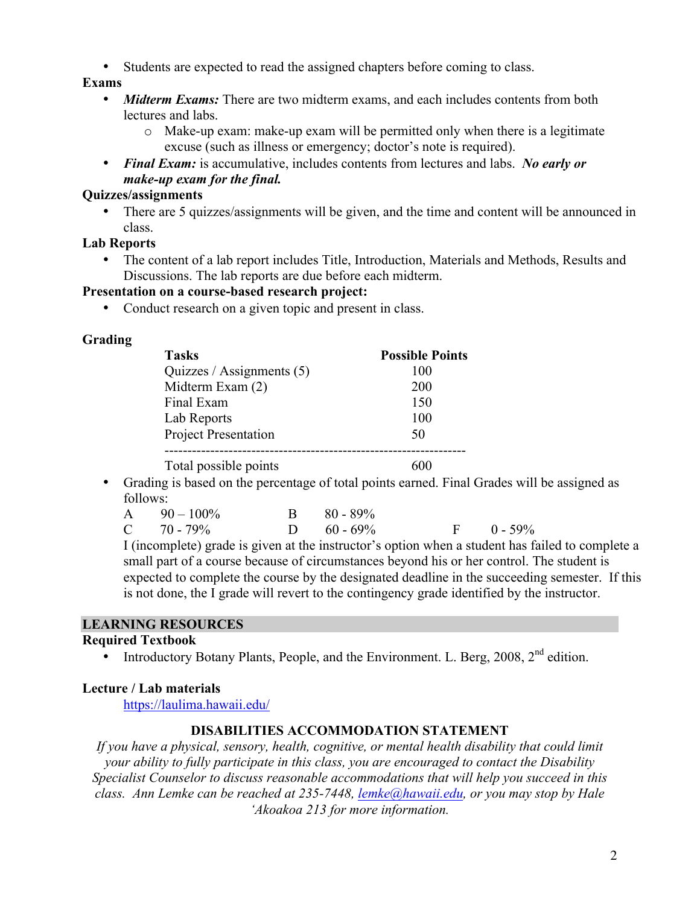• Students are expected to read the assigned chapters before coming to class.

## **Exams**

- *Midterm Exams:* There are two midterm exams, and each includes contents from both lectures and labs.
	- $\circ$  Make-up exam: make-up exam will be permitted only when there is a legitimate excuse (such as illness or emergency; doctor's note is required).
- *Final Exam:* is accumulative, includes contents from lectures and labs. *No early or make-up exam for the final.*

## **Quizzes/assignments**

• There are 5 quizzes/assignments will be given, and the time and content will be announced in class.

## **Lab Reports**

• The content of a lab report includes Title, Introduction, Materials and Methods, Results and Discussions. The lab reports are due before each midterm.

## **Presentation on a course-based research project:**

• Conduct research on a given topic and present in class.

# **Grading**

| <b>Tasks</b>                | <b>Possible Points</b> |
|-----------------------------|------------------------|
| Quizzes / Assignments $(5)$ | 100                    |
| Midterm Exam (2)            | 200                    |
| Final Exam                  | 150                    |
| Lab Reports                 | 100                    |
| <b>Project Presentation</b> | 50                     |
|                             |                        |
| Total possible points       |                        |

• Grading is based on the percentage of total points earned. Final Grades will be assigned as follows:

| A $90-100\%$    | $B = 80 - 89\%$ |                |
|-----------------|-----------------|----------------|
| $C = 70 - 79\%$ | D $60 - 69\%$   | $F = 0 - 59\%$ |

I (incomplete) grade is given at the instructor's option when a student has failed to complete a small part of a course because of circumstances beyond his or her control. The student is expected to complete the course by the designated deadline in the succeeding semester. If this is not done, the I grade will revert to the contingency grade identified by the instructor.

# **LEARNING RESOURCES**

## **Required Textbook**

Introductory Botany Plants, People, and the Environment. L. Berg, 2008, 2<sup>nd</sup> edition.

# **Lecture / Lab materials**

https://laulima.hawaii.edu/

# **DISABILITIES ACCOMMODATION STATEMENT**

*If you have a physical, sensory, health, cognitive, or mental health disability that could limit your ability to fully participate in this class, you are encouraged to contact the Disability Specialist Counselor to discuss reasonable accommodations that will help you succeed in this class. Ann Lemke can be reached at 235-7448, lemke@hawaii.edu, or you may stop by Hale 'Akoakoa 213 for more information.*